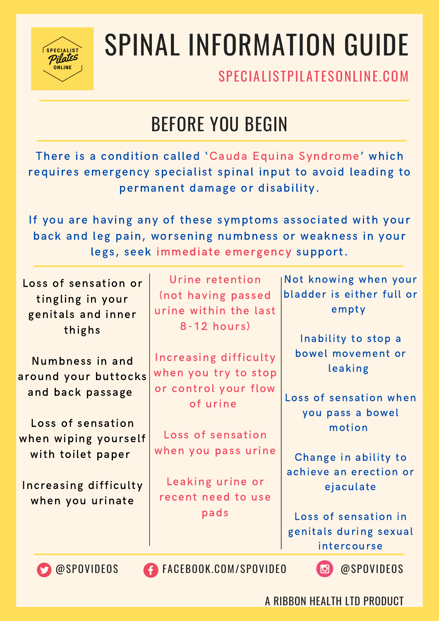

# SPINAL INFORMATION GUIDE

SPECIALISTPILATESONLINE COM

### BEFORE YOU BEGIN

There is a condition called 'Cauda Equina Syndrome' which requires emergency specialist spinal input to avoid leading to permanent damage or disability.

If you are having any of these symptoms associated with your back and leg pain, worsening numbness or weakness in your legs, seek immediate emergency support.

| Loss of sensation or<br>tingling in your<br>genitals and inner<br>thighs | Urine retention<br>(not having passed<br>urine within the last<br>$8 - 12$ hours) | Not knowing when your<br>bladder is either full or<br>$em$ pty<br>Inability to stop a |
|--------------------------------------------------------------------------|-----------------------------------------------------------------------------------|---------------------------------------------------------------------------------------|
| Numbness in and<br>around your buttocks                                  | Increasing difficulty<br>when you try to stop                                     | bowel movement or<br>leaking                                                          |
| and back passage                                                         | or control your flow<br>of urine                                                  | Loss of sensation when<br>you pass a bowel                                            |
| Loss of sensation<br>when wiping yourself<br>with toilet paper           | Loss of sensation<br>when you pass urine                                          | motion                                                                                |
| <b>Increasing difficulty</b><br>when you urinate                         | Leaking urine or<br>recent need to use                                            | Change in ability to<br>achieve an erection or<br>ejaculate                           |
|                                                                          | pads                                                                              | Loss of sensation in<br>genitals during sexual<br>intercourse                         |
|                                                                          |                                                                                   |                                                                                       |

@SPOVIDEOS FACEBOOK.COM/SPOVIDEO @SPOVIDEOS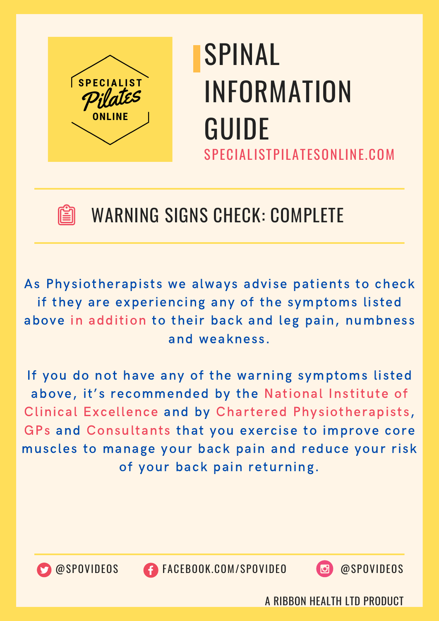



#### WARNING SIGNS CHECK: COMPLETE

As Physiotherapists we always advise patients to check if they are experiencing any of the symptoms listed above in addition to their back and leg pain, numbness and weakness.

If you do not have any of the warning symptoms listed above, it's recommended by the National Institute of Clinical Excellence and by Chartered Physiotherapists, GPs and Consultants that you exercise to improve core muscles to manage your back pain and reduce your risk of your back pain returning.



@SPOVIDEOS FACEBOOK.COM/SPOVIDEO @SPOVIDEOS

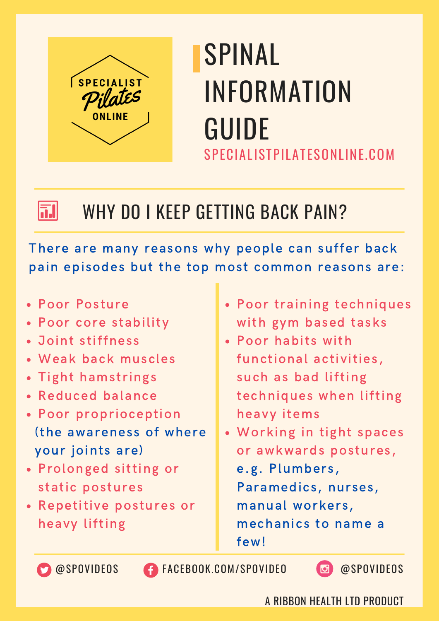



#### WHY DO I KEEP GETTING BACK PAIN?

There are many reasons why people can suffer back pain episodes but the top most common reasons are:

- Poor Posture
- Poor core stability
- Joint stiffness
- Weak back muscles
- Tight hamstrings
- Reduced balance
- Poor proprioception (the awareness of where your joints are)
- Prolonged sitting or static postures
- Repetitive postures or heavy lifting
- Poor training techniques with gym based tasks
- Poor habits with functional activities, such as bad lifting techniques when lifting heavy items
- Working in tight spaces or awkwards postures, e.g. Plumbers, Paramedics, nurses, manual workers, mechanics to name a few!

@SPOVIDEOS FACEBOOK.COM/SPOVIDEO @SPOVIDEOS

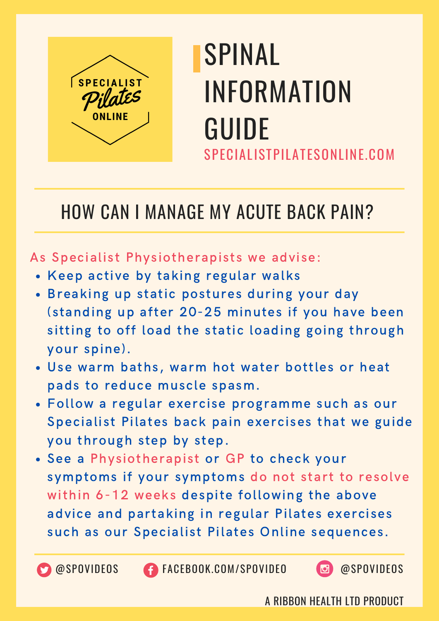

#### HOW CAN I MANAGE MY ACUTE BACK PAIN?

#### As Specialist Physiotherapists we advise:

- Keep active by taking regular walks
- Breaking up static postures during your day (standing up after 20-25 minutes if you have been sitting to off load the static loading going through your spine).
- Use warm baths, warm hot water bottles or heat pads to reduce muscle spasm.
- Follow a regular exercise programme such as our Specialist Pilates back pain exercises that we guide you through step by step.
- See a Physiotherapist or GP to check your symptoms if your symptoms do not start to resolve within 6-12 weeks despite following the above advice and partaking in regular Pilates exercises such as our Specialist Pilates Online sequences.

@SPOVIDEOS FACEBOOK.COM/SPOVIDEO @SPOVIDEOS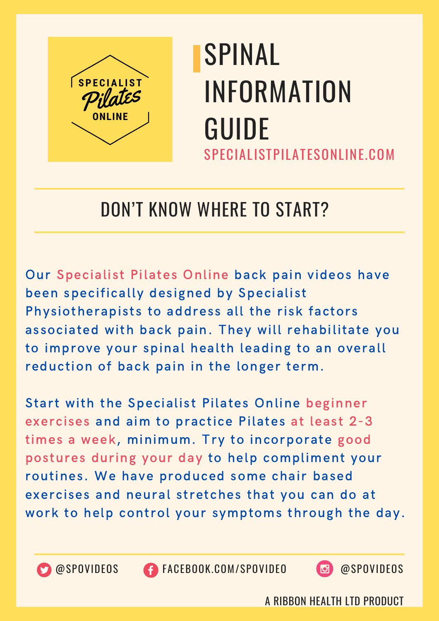

#### DON'T KNOW WHERE TO START?

Our Specialist Pilates Online back pain videos have been specifically designed by Specialist Physiotherapists to address all the risk factors associated with back pain. They will rehabilitate you to improve your spinal health leading to an overall reduction of back pain in the longer term.

Start with the Specialist Pilates Online beginner exercises and aim to practice Pilates at least 2-3 times a week, minimum. Try to incorporate good postures during your day to help compliment your routines. We have produced some chair based exercises and neural stretches that you can do at work to help control your symptoms through the day.



@SPOVIDEOS FACEBOOK.COM/SPOVIDEO @SPOVIDEOS

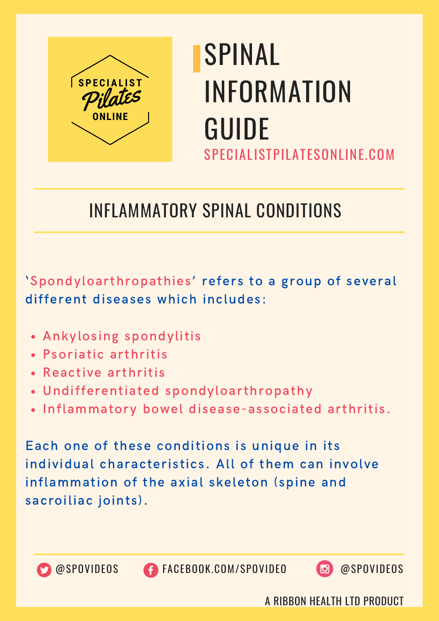

#### INFLAMMATORY SPINAL CONDITIONS

'Spondyloarthropathies' refers to a group of several different diseases which includes:

- Ankylosing spondylitis
- Psoriatic arthritis
- Reactive arthritis
- Undifferentiated spondyloarthropathy
- Inflammatory bowel disease-associated arthritis.

Each one of these conditions is unique in its individual characteristics. All of them can involve inflammation of the axial skeleton (spine and sacroiliac joints).



@SPOVIDEOS FACEBOOK.COM/SPOVIDEO @SPOVIDEOS

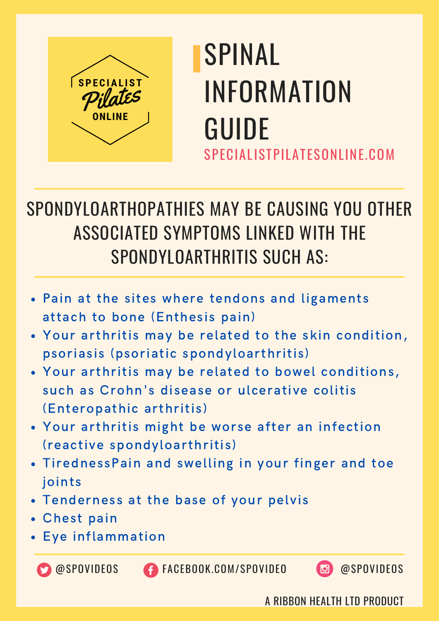

#### SPONDYLOARTHOPATHIES MAY BE CAUSING YOU OTHER ASSOCIATED SYMPTOMS LINKED WITH THE SPONDYLOARTHRITIS SUCH AS:

- Pain at the sites where tendons and ligaments attach to bone (Enthesis pain)
- Your arthritis may be related to the skin condition, psoriasis (psoriatic spondyloarthritis)
- Your arthritis may be related to bowel conditions, such as Crohn's disease or ulcerative colitis (Enteropathic arthritis)
- Your arthritis might be worse after an infection (reactive spondyloarthritis)
- TirednessPain and swelling in your finger and toe joints
- Tenderness at the base of your pelvis
- Chest pain
- Eye inflammation



**CO** @SPOVIDEOS **FACEBOOK.COM/SPOVIDEO @**SPOVIDEOS

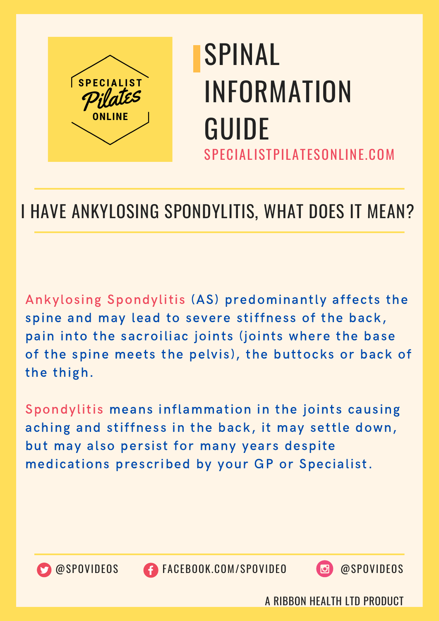

#### I HAVE ANKYLOSING SPONDYLITIS, WHAT DOES IT MEAN?

Ankylosing Spondylitis (AS) predominantly affects the spine and may lead to severe stiffness of the back, pain into the sacroiliac joints (joints where the base of the spine meets the pelvis), the buttocks or back of the thigh.

Spondylitis means inflammation in the joints causing aching and stiffness in the back, it may settle down, but may also persist for many years despite medications prescribed by your GP or Specialist.



@SPOVIDEOS FACEBOOK.COM/SPOVIDEO @SPOVIDEOS

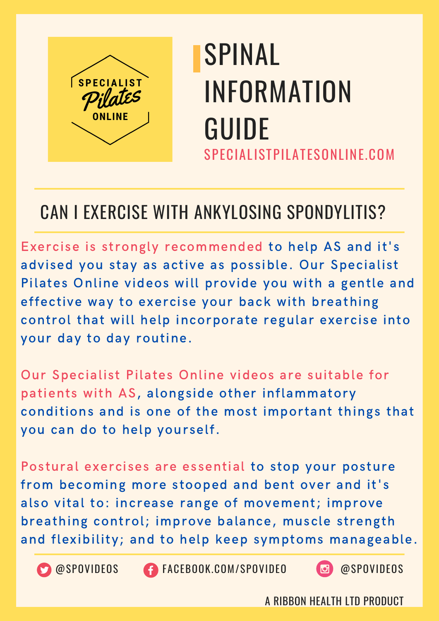

#### CAN I EXERCISE WITH ANKYLOSING SPONDYLITIS?

Exercise is strongly recommended to help AS and it's advised you stay as active as possible. Our Specialist Pilates Online videos will provide you with a gentle and effective way to exercise your back with breathing control that will help incorporate regular exercise into your day to day routine.

Our Specialist Pilates Online videos are suitable for patients with AS, alongside other inflammatory conditions and is one of the most important things that you can do to help yourself.

Postural exercises are essential to stop your posture from becoming more stooped and bent over and it's also vital to: increase range of movement; improve breathing control; improve balance, muscle strength and flexibility; and to help keep symptoms manageable.



@SPOVIDEOS FACEBOOK.COM/SPOVIDEO @SPOVIDEOS

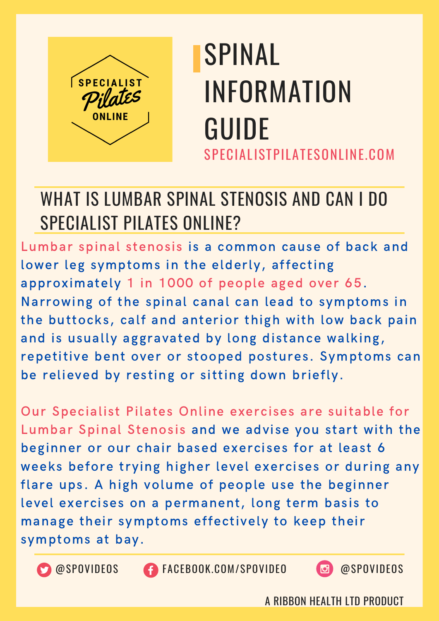

#### WHAT IS LUMBAR SPINAL STENOSIS AND CAN I DO SPECIALIST PILATES ONLINE?

Lumbar spinal stenosis is a common cause of back and lower leg symptoms in the elderly, affecting approximately 1 in 1000 of people aged over 65. Narrowing of the spinal canal can lead to symptoms in the buttocks, calf and anterior thigh with low back pain and is usually aggravated by long distance walking, repetitive bent over or stooped postures. Symptoms can be relieved by resting or sitting down briefly.

Our Specialist Pilates Online exercises are suitable for Lumbar Spinal Stenosis and we advise you start with the beginner or our chair based exercises for at least 6 weeks before trying higher level exercises or during any flare ups. A high volume of people use the beginner level exercises on a permanent, long term basis to manage their symptoms effectively to keep their symptoms at bay.



@SPOVIDEOS FACEBOOK.COM/SPOVIDEO @SPOVIDEOS